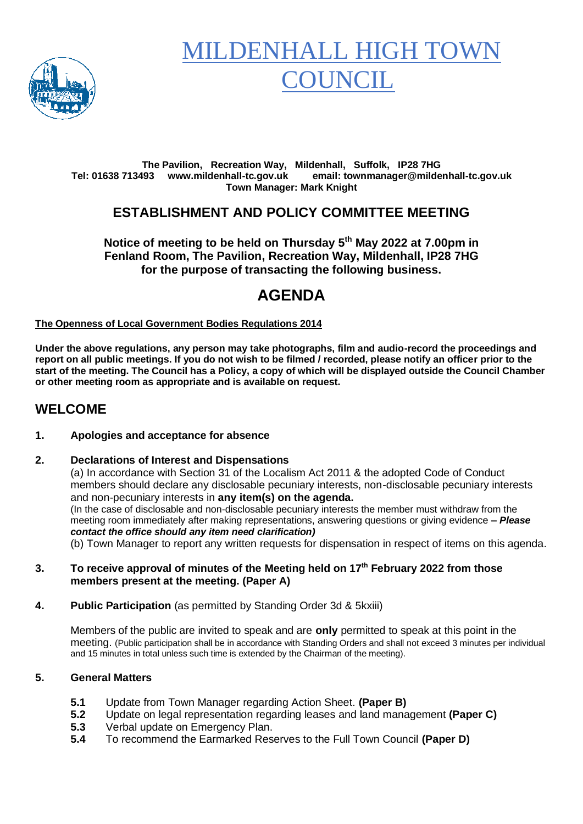

# MILDENHALL HIGH TOV **OUNCIL**

#### **The Pavilion, Recreation Way, Mildenhall, Suffolk, IP28 7HG Tel: 01638 713493 www.mildenhall-tc.gov.uk email: townmanager@mildenhall-tc.gov.uk Town Manager: Mark Knight**

## **ESTABLISHMENT AND POLICY COMMITTEE MEETING**

**Notice of meeting to be held on Thursday 5 th May 2022 at 7.00pm in Fenland Room, The Pavilion, Recreation Way, Mildenhall, IP28 7HG for the purpose of transacting the following business.**

# **AGENDA**

**The Openness of Local Government Bodies Regulations 2014**

**Under the above regulations, any person may take photographs, film and audio-record the proceedings and report on all public meetings. If you do not wish to be filmed / recorded, please notify an officer prior to the start of the meeting. The Council has a Policy, a copy of which will be displayed outside the Council Chamber or other meeting room as appropriate and is available on request.**

### **WELCOME**

#### **1. Apologies and acceptance for absence**

#### **2. Declarations of Interest and Dispensations**

(a) In accordance with Section 31 of the Localism Act 2011 & the adopted Code of Conduct members should declare any disclosable pecuniary interests, non-disclosable pecuniary interests and non-pecuniary interests in **any item(s) on the agenda.** (In the case of disclosable and non-disclosable pecuniary interests the member must withdraw from the

meeting room immediately after making representations, answering questions or giving evidence **–** *Please contact the office should any item need clarification)*

(b) Town Manager to report any written requests for dispensation in respect of items on this agenda.

- **3. To receive approval of minutes of the Meeting held on 17th February 2022 from those members present at the meeting. (Paper A)**
- **4. Public Participation** (as permitted by Standing Order 3d & 5kxiii)

Members of the public are invited to speak and are **only** permitted to speak at this point in the meeting. (Public participation shall be in accordance with Standing Orders and shall not exceed 3 minutes per individual and 15 minutes in total unless such time is extended by the Chairman of the meeting).

#### **5. General Matters**

- **5.1** Update from Town Manager regarding Action Sheet. **(Paper B)**
- **5.2** Update on legal representation regarding leases and land management **(Paper C)**
- **5.3** Verbal update on Emergency Plan.
- **5.4** To recommend the Earmarked Reserves to the Full Town Council **(Paper D)**